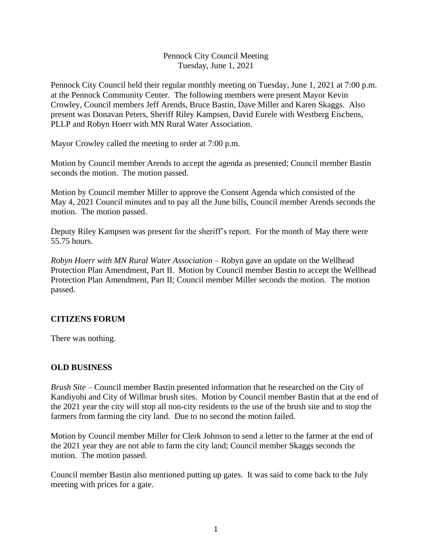### Pennock City Council Meeting Tuesday, June 1, 2021

Pennock City Council held their regular monthly meeting on Tuesday, June 1, 2021 at 7:00 p.m. at the Pennock Community Center. The following members were present Mayor Kevin Crowley, Council members Jeff Arends, Bruce Bastin, Dave Miller and Karen Skaggs. Also present was Donavan Peters, Sheriff Riley Kampsen, David Eurele with Westberg Eischens, PLLP and Robyn Hoerr with MN Rural Water Association.

Mayor Crowley called the meeting to order at 7:00 p.m.

Motion by Council member Arends to accept the agenda as presented; Council member Bastin seconds the motion. The motion passed.

Motion by Council member Miller to approve the Consent Agenda which consisted of the May 4, 2021 Council minutes and to pay all the June bills, Council member Arends seconds the motion. The motion passed.

Deputy Riley Kampsen was present for the sheriff's report. For the month of May there were 55.75 hours.

*Robyn Hoerr with MN Rural Water Association –* Robyn gave an update on the Wellhead Protection Plan Amendment, Part II. Motion by Council member Bastin to accept the Wellhead Protection Plan Amendment, Part II; Council member Miller seconds the motion. The motion passed.

## **CITIZENS FORUM**

There was nothing.

## **OLD BUSINESS**

*Brush Site* – Council member Bastin presented information that he researched on the City of Kandiyohi and City of Willmar brush sites. Motion by Council member Bastin that at the end of the 2021 year the city will stop all non-city residents to the use of the brush site and to stop the farmers from farming the city land. Due to no second the motion failed.

Motion by Council member Miller for Clerk Johnson to send a letter to the farmer at the end of the 2021 year they are not able to farm the city land; Council member Skaggs seconds the motion. The motion passed.

Council member Bastin also mentioned putting up gates. It was said to come back to the July meeting with prices for a gate.